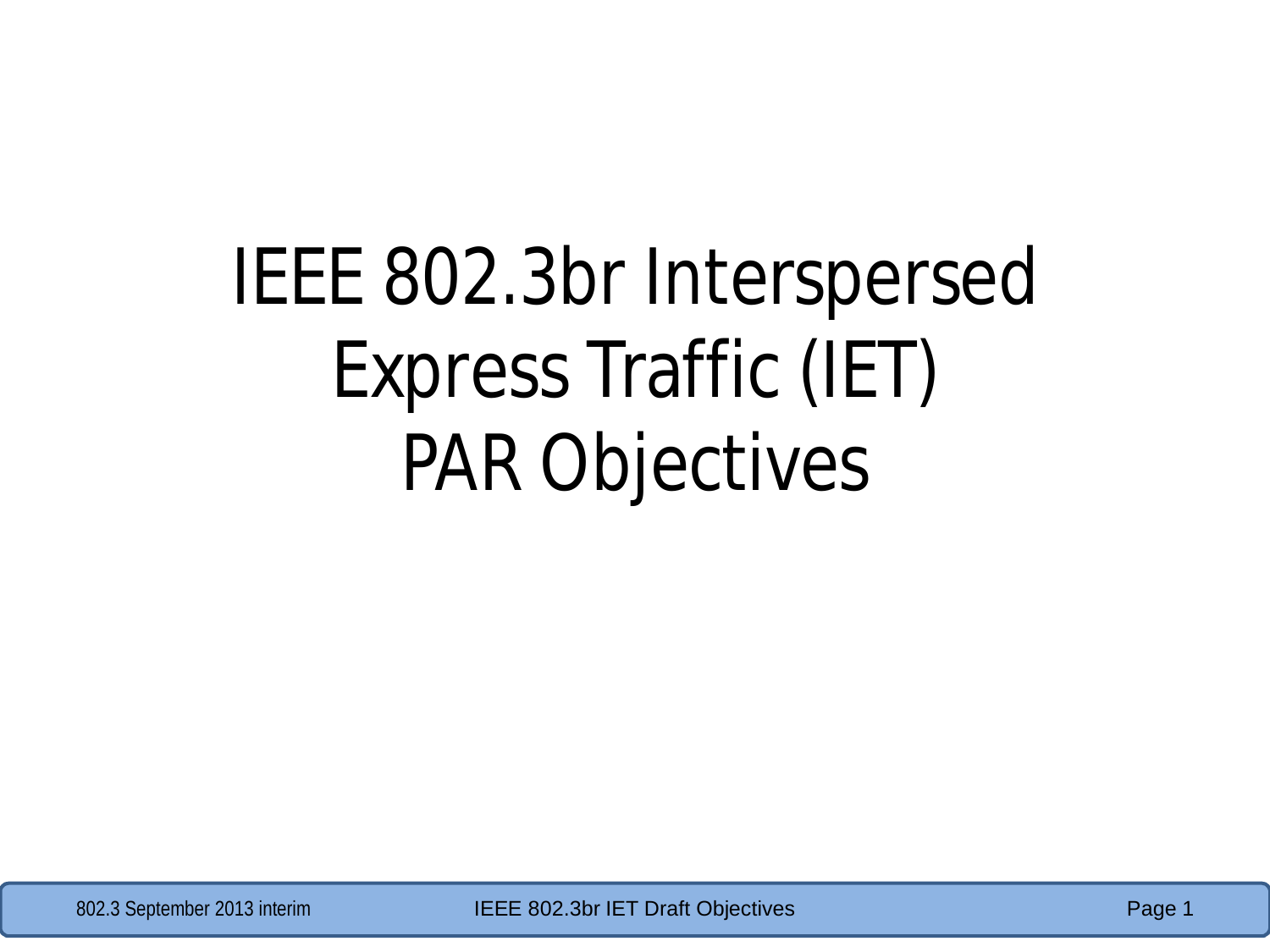## IEEE 802.3br Interspersed Express Traffic (IET) PAR Objectives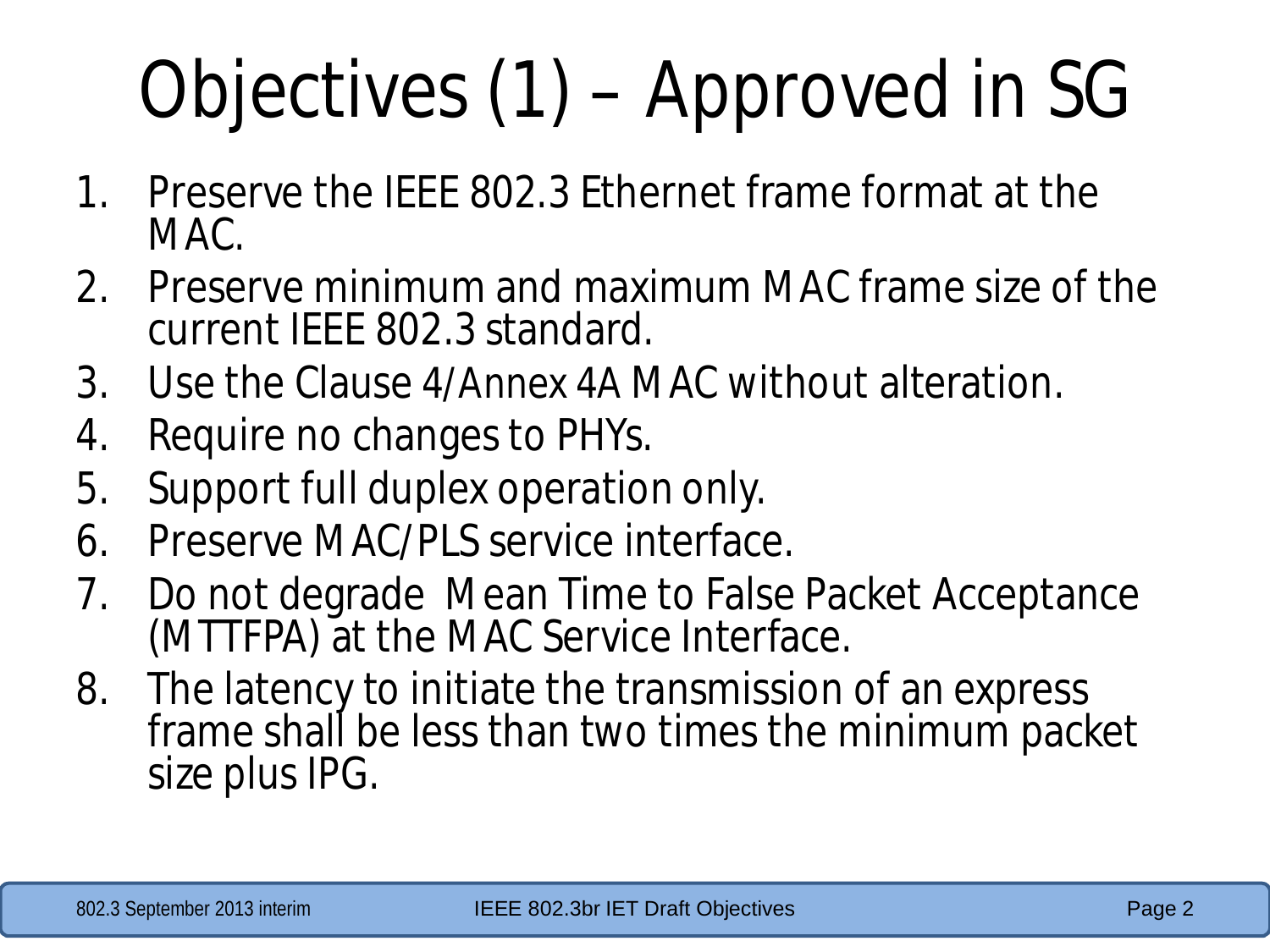## Objectives (1) – Approved in SG

- 1. Preserve the IEEE 802.3 Ethernet frame format at the MAC.
- 2. Preserve minimum and maximum MAC frame size of the current IEEE 802.3 standard.
- 3. Use the Clause 4/Annex 4A MAC without alteration.
- 4. Require no changes to PHYs.
- 5. Support full duplex operation only.
- 6. Preserve MAC/PLS service interface.
- 7. Do not degrade Mean Time to False Packet Acceptance (MTTFPA) at the MAC Service Interface.
- 8. The latency to initiate the transmission of an express frame shall be less than two times the minimum packet size plus IPG.